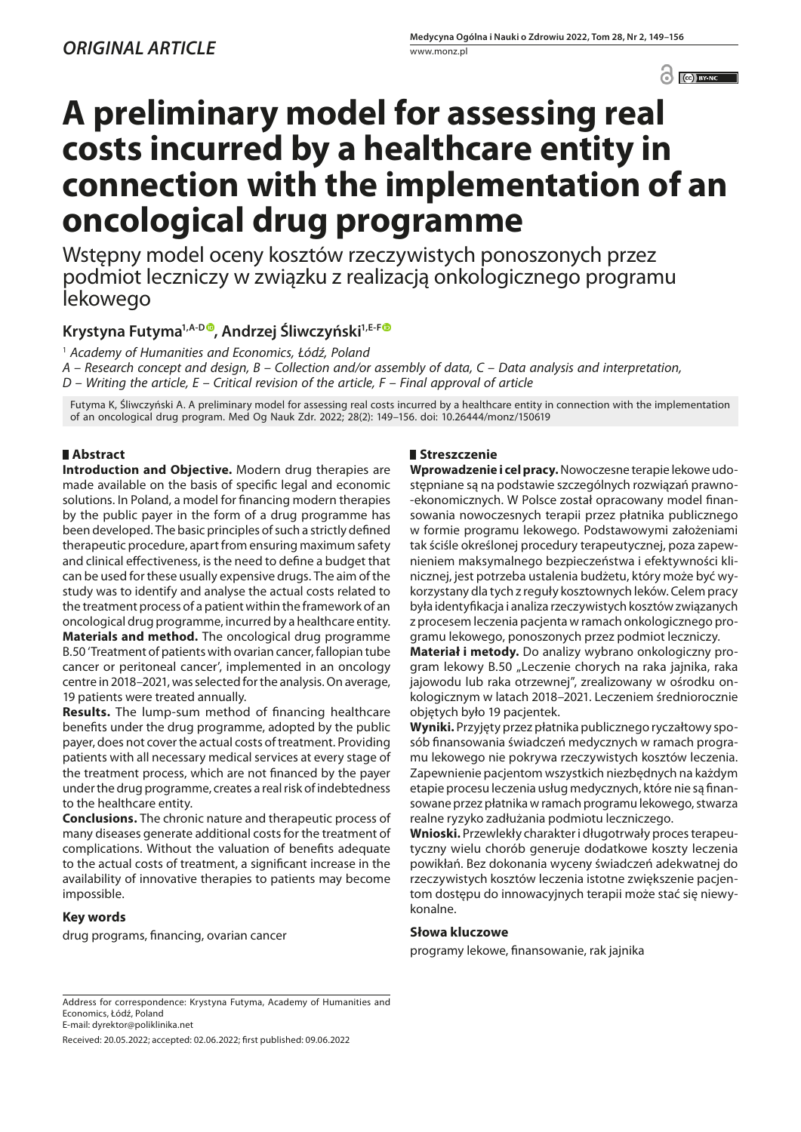$\odot$   $\odot$  BY-NC

# **A preliminary model for assessing real costs incurred by a healthcare entity in connection with the implementation of an oncological drug programme**

Wstępny model oceny kosztów rzeczywistych ponoszonych przez podmiot leczniczy w związku z realizacją onkologicznego programu lekowego

# Krystyna Futyma<sup>1,A-D®</sup>, Andrzej Śliwczyński<sup>1,E-F®</sup>

1  *Academy of Humanities and Economics, Łódź, Poland*

*A – Research concept and design, B – Collection and/or assembly of data, C – Data analysis and interpretation, D – Writing the article, E – Critical revision of the article, F – Final approval of article*

Futyma K, Śliwczyński A. A preliminary model for assessing real costs incurred by a healthcare entity in connection with the implementation of an oncological drug program. Med Og Nauk Zdr. 2022; 28(2): 149–156. doi: 10.26444/monz/150619

# **Abstract**

**Introduction and Objective.** Modern drug therapies are made available on the basis of specific legal and economic solutions. In Poland, a model for financing modern therapies by the public payer in the form of a drug programme has been developed. The basic principles of such a strictly defined therapeutic procedure, apart from ensuring maximum safety and clinical effectiveness, is the need to define a budget that can be used for these usually expensive drugs. The aim of the study was to identify and analyse the actual costs related to the treatment process of a patient within the framework of an oncological drug programme, incurred by a healthcare entity. **Materials and method.** The oncological drug programme B.50 'Treatment of patients with ovarian cancer, fallopian tube cancer or peritoneal cancer', implemented in an oncology centre in 2018–2021, was selected for the analysis. On average, 19 patients were treated annually.

**Results.** The lump-sum method of financing healthcare benefits under the drug programme, adopted by the public payer, does not cover the actual costs of treatment. Providing patients with all necessary medical services at every stage of the treatment process, which are not financed by the payer under the drug programme, creates a real risk of indebtedness to the healthcare entity.

**Conclusions.** The chronic nature and therapeutic process of many diseases generate additional costs for the treatment of complications. Without the valuation of benefits adequate to the actual costs of treatment, a significant increase in the availability of innovative therapies to patients may become impossible.

## **Key words**

drug programs, financing, ovarian cancer

## **Streszczenie**

**Wprowadzenie i cel pracy.** Nowoczesne terapie lekowe udostępniane są na podstawie szczególnych rozwiązań prawno- -ekonomicznych. W Polsce został opracowany model finansowania nowoczesnych terapii przez płatnika publicznego w formie programu lekowego. Podstawowymi założeniami tak ściśle określonej procedury terapeutycznej, poza zapewnieniem maksymalnego bezpieczeństwa i efektywności klinicznej, jest potrzeba ustalenia budżetu, który może być wykorzystany dla tych z reguły kosztownych leków. Celem pracy była identyfikacja i analiza rzeczywistych kosztów związanych z procesem leczenia pacjenta w ramach onkologicznego programu lekowego, ponoszonych przez podmiot leczniczy.

**Materiał i metody.** Do analizy wybrano onkologiczny program lekowy B.50 "Leczenie chorych na raka jajnika, raka jajowodu lub raka otrzewnej", zrealizowany w ośrodku onkologicznym w latach 2018–2021. Leczeniem średniorocznie objętych było 19 pacjentek.

**Wyniki.** Przyjęty przez płatnika publicznego ryczałtowy sposób finansowania świadczeń medycznych w ramach programu lekowego nie pokrywa rzeczywistych kosztów leczenia. Zapewnienie pacjentom wszystkich niezbędnych na każdym etapie procesu leczenia usług medycznych, które nie są finansowane przez płatnika w ramach programu lekowego, stwarza realne ryzyko zadłużania podmiotu leczniczego.

**Wnioski.** Przewlekły charakter i długotrwały proces terapeutyczny wielu chorób generuje dodatkowe koszty leczenia powikłań. Bez dokonania wyceny świadczeń adekwatnej do rzeczywistych kosztów leczenia istotne zwiększenie pacjentom dostępu do innowacyjnych terapii może stać się niewykonalne.

## **Słowa kluczowe**

programy lekowe, finansowanie, rak jajnika

Received: 20.05.2022; accepted: 02.06.2022; first published: 09.06.2022

Address for correspondence: Krystyna Futyma, Academy of Humanities and Economics, Łódź, Poland E-mail: dyrektor@poliklinika.net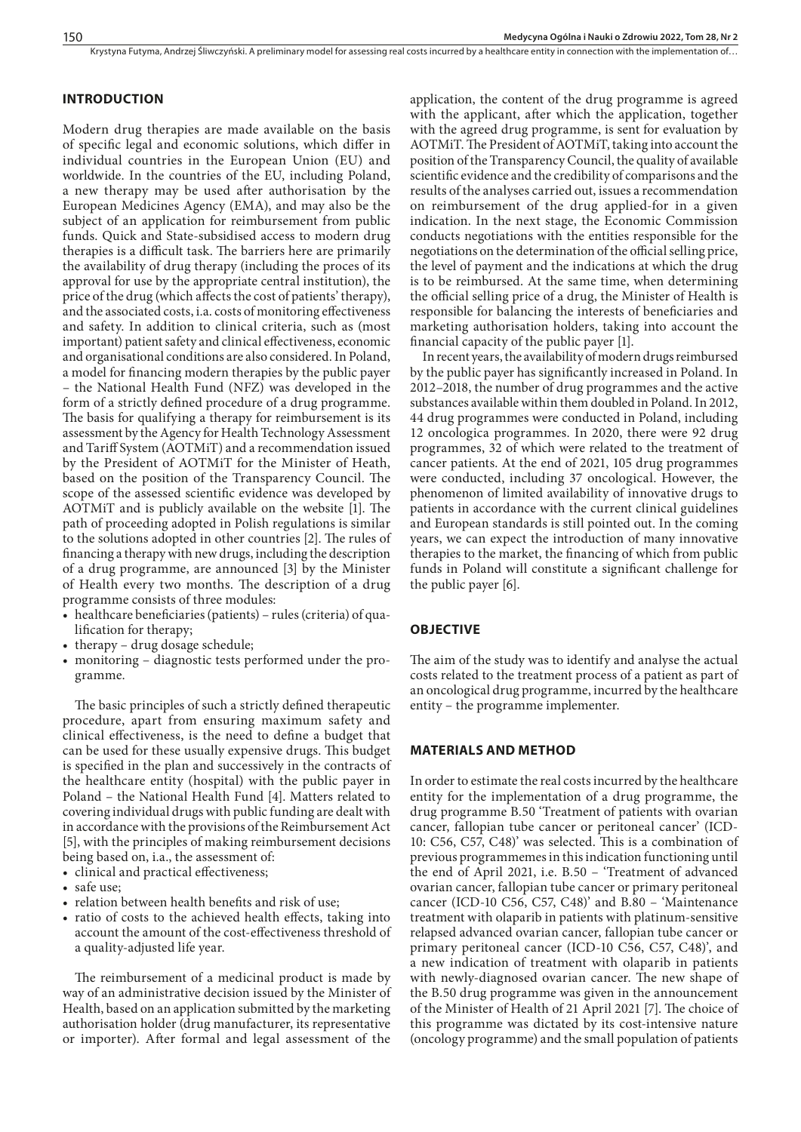## **INTRODUCTION**

Modern drug therapies are made available on the basis of specific legal and economic solutions, which differ in individual countries in the European Union (EU) and worldwide. In the countries of the EU, including Poland, a new therapy may be used after authorisation by the European Medicines Agency (EMA), and may also be the subject of an application for reimbursement from public funds. Quick and State-subsidised access to modern drug therapies is a difficult task. The barriers here are primarily the availability of drug therapy (including the proces of its approval for use by the appropriate central institution), the price of the drug (which affects the cost of patients' therapy), and the associated costs, i.a. costs of monitoring effectiveness and safety. In addition to clinical criteria, such as (most important) patient safety and clinical effectiveness, economic and organisational conditions are also considered. In Poland, a model for financing modern therapies by the public payer – the National Health Fund (NFZ) was developed in the form of a strictly defined procedure of a drug programme. The basis for qualifying a therapy for reimbursement is its assessment by the Agency for Health Technology Assessment and Tariff System (AOTMiT) and a recommendation issued by the President of AOTMiT for the Minister of Heath, based on the position of the Transparency Council. The scope of the assessed scientific evidence was developed by AOTMiT and is publicly available on the website [1]. The path of proceeding adopted in Polish regulations is similar to the solutions adopted in other countries [2]. The rules of financing a therapy with new drugs, including the description of a drug programme, are announced [3] by the Minister of Health every two months. The description of a drug programme consists of three modules:

- • healthcare beneficiaries (patients) rules (criteria) of qualification for therapy;
- therapy drug dosage schedule;
- monitoring diagnostic tests performed under the programme.

The basic principles of such a strictly defined therapeutic procedure, apart from ensuring maximum safety and clinical effectiveness, is the need to define a budget that can be used for these usually expensive drugs. This budget is specified in the plan and successively in the contracts of the healthcare entity (hospital) with the public payer in Poland – the National Health Fund [4]. Matters related to covering individual drugs with public funding are dealt with in accordance with the provisions of the Reimbursement Act [5], with the principles of making reimbursement decisions being based on, i.a., the assessment of:

- • clinical and practical effectiveness;
- safe use:
- • relation between health benefits and risk of use;
- ratio of costs to the achieved health effects, taking into account the amount of the cost-effectiveness threshold of a quality-adjusted life year.

The reimbursement of a medicinal product is made by way of an administrative decision issued by the Minister of Health, based on an application submitted by the marketing authorisation holder (drug manufacturer, its representative or importer). After formal and legal assessment of the

application, the content of the drug programme is agreed with the applicant, after which the application, together with the agreed drug programme, is sent for evaluation by AOTMiT. The President of AOTMiT, taking into account the position of the Transparency Council, the quality of available scientific evidence and the credibility of comparisons and the results of the analyses carried out, issues a recommendation on reimbursement of the drug applied-for in a given indication. In the next stage, the Economic Commission conducts negotiations with the entities responsible for the negotiations on the determination of the official selling price, the level of payment and the indications at which the drug is to be reimbursed. At the same time, when determining the official selling price of a drug, the Minister of Health is responsible for balancing the interests of beneficiaries and marketing authorisation holders, taking into account the financial capacity of the public payer [1].

In recent years, the availability of modern drugs reimbursed by the public payer has significantly increased in Poland. In 2012–2018, the number of drug programmes and the active substances available within them doubled in Poland. In 2012, 44 drug programmes were conducted in Poland, including 12 oncologica programmes. In 2020, there were 92 drug programmes, 32 of which were related to the treatment of cancer patients. At the end of 2021, 105 drug programmes were conducted, including 37 oncological. However, the phenomenon of limited availability of innovative drugs to patients in accordance with the current clinical guidelines and European standards is still pointed out. In the coming years, we can expect the introduction of many innovative therapies to the market, the financing of which from public funds in Poland will constitute a significant challenge for the public payer [6].

#### **OBJECTIVE**

The aim of the study was to identify and analyse the actual costs related to the treatment process of a patient as part of an oncological drug programme, incurred by the healthcare entity – the programme implementer.

## **MATERIALS AND METHOD**

In order to estimate the real costs incurred by the healthcare entity for the implementation of a drug programme, the drug programme B.50 'Treatment of patients with ovarian cancer, fallopian tube cancer or peritoneal cancer' (ICD-10: C56, C57, C48)' was selected. This is a combination of previous programmemes in this indication functioning until the end of April 2021, i.e. B.50 – 'Treatment of advanced ovarian cancer, fallopian tube cancer or primary peritoneal cancer (ICD-10 C56, C57, C48)' and B.80 – 'Maintenance treatment with olaparib in patients with platinum-sensitive relapsed advanced ovarian cancer, fallopian tube cancer or primary peritoneal cancer (ICD-10 C56, C57, C48)', and a new indication of treatment with olaparib in patients with newly-diagnosed ovarian cancer. The new shape of the B.50 drug programme was given in the announcement of the Minister of Health of 21 April 2021 [7]. The choice of this programme was dictated by its cost-intensive nature (oncology programme) and the small population of patients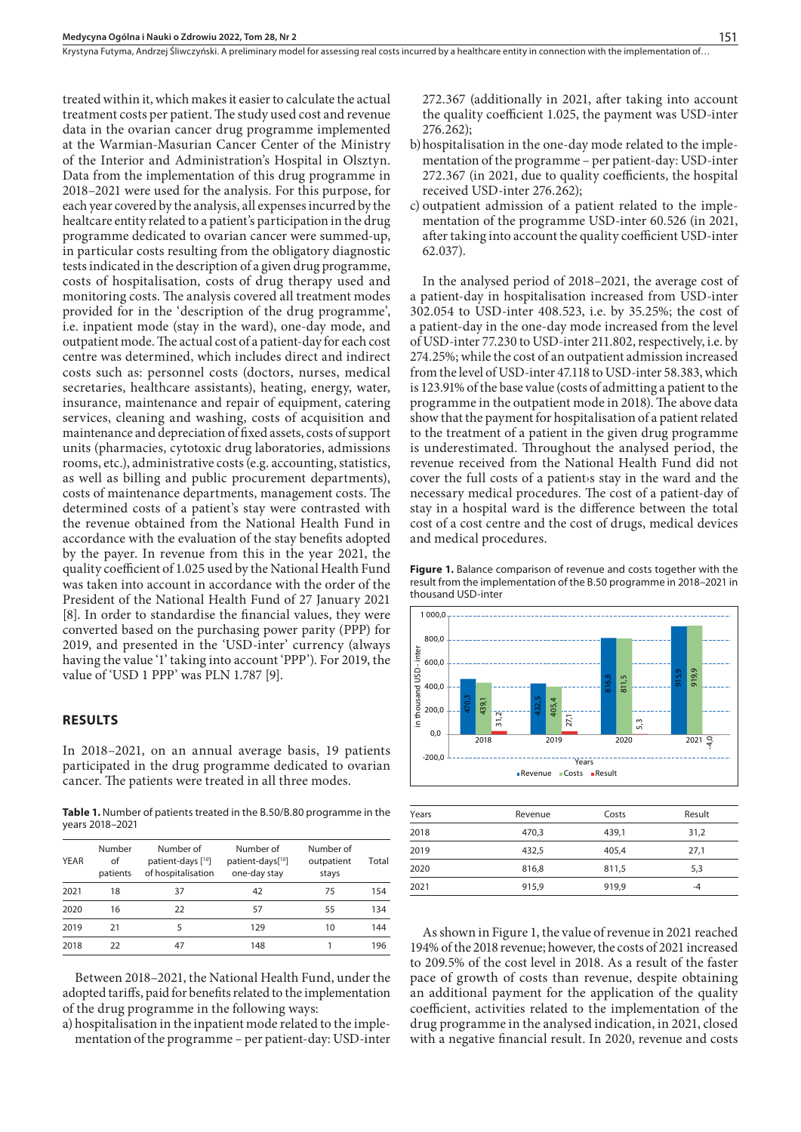Krystyna Futyma, Andrzej Śliwczyński. A preliminary model for assessing real costs incurred by a healthcare entity in connection with the implementation of..

treated within it, which makes it easier to calculate the actual treatment costs per patient. The study used cost and revenue data in the ovarian cancer drug programme implemented at the Warmian-Masurian Cancer Center of the Ministry of the Interior and Administration's Hospital in Olsztyn. Data from the implementation of this drug programme in 2018–2021 were used for the analysis. For this purpose, for each year covered by the analysis, all expenses incurred by the healtcare entity related to a patient's participation in the drug programme dedicated to ovarian cancer were summed-up, in particular costs resulting from the obligatory diagnostic tests indicated in the description of a given drug programme, costs of hospitalisation, costs of drug therapy used and monitoring costs. The analysis covered all treatment modes provided for in the 'description of the drug programme', i.e. inpatient mode (stay in the ward), one-day mode, and outpatient mode. The actual cost of a patient-day for each cost centre was determined, which includes direct and indirect costs such as: personnel costs (doctors, nurses, medical secretaries, healthcare assistants), heating, energy, water, insurance, maintenance and repair of equipment, catering services, cleaning and washing, costs of acquisition and maintenance and depreciation of fixed assets, costs of support units (pharmacies, cytotoxic drug laboratories, admissions rooms, etc.), administrative costs (e.g. accounting, statistics, as well as billing and public procurement departments), costs of maintenance departments, management costs. The determined costs of a patient's stay were contrasted with the revenue obtained from the National Health Fund in accordance with the evaluation of the stay benefits adopted by the payer. In revenue from this in the year 2021, the quality coefficient of 1.025 used by the National Health Fund was taken into account in accordance with the order of the President of the National Health Fund of 27 January 2021 [8]. In order to standardise the financial values, they were converted based on the purchasing power parity (PPP) for 2019, and presented in the 'USD-inter' currency (always having the value '1' taking into account 'PPP'). For 2019, the value of 'USD 1 PPP' was PLN 1.787 [9].

#### **RESULTS**

In 2018–2021, on an annual average basis, 19 patients participated in the drug programme dedicated to ovarian cancer. The patients were treated in all three modes.

**Table 1.** Number of patients treated in the B.50/B.80 programme in the years 2018–2021

| <b>YEAR</b> | Number<br>of<br>patients | Number of<br>patient-days [ <sup>10</sup> ]<br>of hospitalisation | Number of<br>patient-days <sup>[10]</sup><br>one-day stay | Number of<br>outpatient<br>stays | Total |
|-------------|--------------------------|-------------------------------------------------------------------|-----------------------------------------------------------|----------------------------------|-------|
| 2021        | 18                       | 37                                                                | 42                                                        | 75                               | 154   |
| 2020        | 16                       | 22                                                                | 57                                                        | 55                               | 134   |
| 2019        | 21                       | 5                                                                 | 129                                                       | 10                               | 144   |
| 2018        | フフ                       | 47                                                                | 148                                                       |                                  | 196   |

Between 2018–2021, the National Health Fund, under the adopted tariffs, paid for benefits related to the implementation of the drug programme in the following ways:

a) hospitalisation in the inpatient mode related to the implementation of the programme – per patient-day: USD-inter 272.367 (additionally in 2021, after taking into account the quality coefficient 1.025, the payment was USD-inter 276.262);

- b)hospitalisation in the one-day mode related to the implementation of the programme – per patient-day: USD-inter 272.367 (in 2021, due to quality coefficients, the hospital received USD-inter 276.262);
- c) outpatient admission of a patient related to the implementation of the programme USD-inter 60.526 (in 2021, after taking into account the quality coefficient USD-inter 62.037).

In the analysed period of 2018–2021, the average cost of a patient-day in hospitalisation increased from USD-inter 302.054 to USD-inter 408.523, i.e. by 35.25%; the cost of a patient-day in the one-day mode increased from the level of USD-inter 77.230 to USD-inter 211.802, respectively, i.e. by 274.25%; while the cost of an outpatient admission increased from the level of USD-inter 47.118 to USD-inter 58.383, which is 123.91% of the base value (costs of admitting a patient to the programme in the outpatient mode in 2018). The above data show that the payment for hospitalisation of a patient related to the treatment of a patient in the given drug programme is underestimated. Throughout the analysed period, the revenue received from the National Health Fund did not cover the full costs of a patient›s stay in the ward and the necessary medical procedures. The cost of a patient-day of stay in a hospital ward is the difference between the total cost of a cost centre and the cost of drugs, medical devices and medical procedures.





| Years | Revenue | Costs | Result |
|-------|---------|-------|--------|
| 2018  | 470,3   | 439.1 | 31,2   |
| 2019  | 432,5   | 405.4 | 27,1   |
| 2020  | 816,8   | 811,5 | 5,3    |
| 2021  | 915,9   | 919.9 | $-4$   |

As shown in Figure 1, the value of revenue in 2021 reached 194% of the 2018 revenue; however, the costs of 2021 increased to 209.5% of the cost level in 2018. As a result of the faster pace of growth of costs than revenue, despite obtaining an additional payment for the application of the quality coefficient, activities related to the implementation of the drug programme in the analysed indication, in 2021, closed with a negative financial result. In 2020, revenue and costs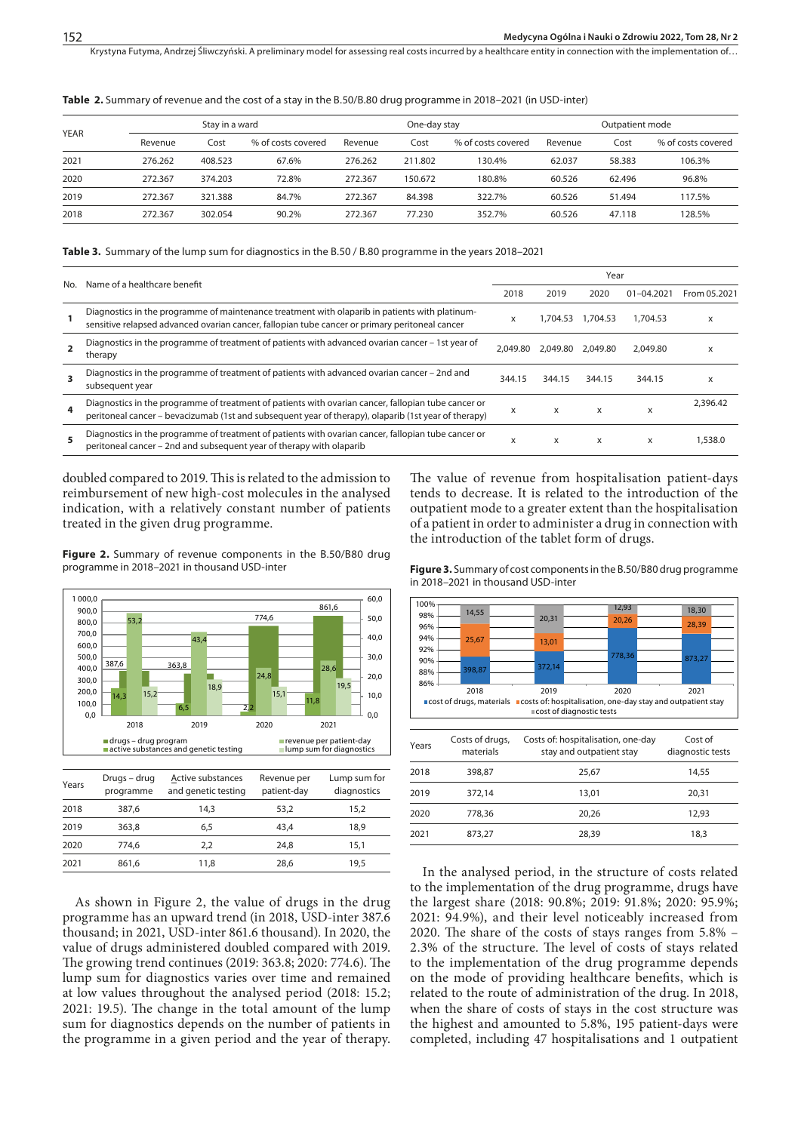Krystyna Futyma, Andrzej Śliwczyński. A preliminary model for assessing real costs incurred by a healthcare entity in connection with the implementation of...

**Table 2.** Summary of revenue and the cost of a stay in the B.50/B.80 drug programme in 2018–2021 (in USD-inter)

| <b>YEAR</b> |         | Stay in a ward |                    | One-day stay |         | Outpatient mode    |         |        |                    |
|-------------|---------|----------------|--------------------|--------------|---------|--------------------|---------|--------|--------------------|
|             | Revenue | Cost           | % of costs covered | Revenue      | Cost    | % of costs covered | Revenue | Cost   | % of costs covered |
| 2021        | 276.262 | 408.523        | 67.6%              | 276.262      | 211.802 | 130.4%             | 62.037  | 58.383 | 106.3%             |
| 2020        | 272.367 | 374.203        | 72.8%              | 272.367      | 150.672 | 180.8%             | 60.526  | 62.496 | 96.8%              |
| 2019        | 272.367 | 321.388        | 84.7%              | 272.367      | 84.398  | 322.7%             | 60.526  | 51.494 | 117.5%             |
| 2018        | 272.367 | 302.054        | 90.2%              | 272.367      | 77.230  | 352.7%             | 60.526  | 47.118 | 128.5%             |

#### **Table 3.** Summary of the lump sum for diagnostics in the B.50 / B.80 programme in the years 2018–2021

| No.            | Name of a healthcare benefit                                                                                                                                                                                |          | Year     |                   |                |              |  |
|----------------|-------------------------------------------------------------------------------------------------------------------------------------------------------------------------------------------------------------|----------|----------|-------------------|----------------|--------------|--|
|                |                                                                                                                                                                                                             | 2018     | 2019     | 2020              | $01 - 04.2021$ | From 05.2021 |  |
|                | Diagnostics in the programme of maintenance treatment with olaparib in patients with platinum-<br>sensitive relapsed advanced ovarian cancer, fallopian tube cancer or primary peritoneal cancer            | x        |          | 1.704.53 1.704.53 | 1.704.53       | x            |  |
| $\overline{2}$ | Diagnostics in the programme of treatment of patients with advanced ovarian cancer – 1st year of<br>therapy                                                                                                 | 2.049.80 | 2.049.80 | 2.049.80          | 2.049.80       | x            |  |
| 3              | Diagnostics in the programme of treatment of patients with advanced ovarian cancer - 2nd and<br>subsequent year                                                                                             | 344.15   | 344.15   | 344.15            | 344.15         | x            |  |
| 4              | Diagnostics in the programme of treatment of patients with ovarian cancer, fallopian tube cancer or<br>peritoneal cancer – bevacizumab (1st and subsequent year of therapy), olaparib (1st year of therapy) | X        | X        | X                 | X              | 2,396.42     |  |
| 5.             | Diagnostics in the programme of treatment of patients with ovarian cancer, fallopian tube cancer or<br>peritoneal cancer – 2nd and subsequent year of therapy with olaparib                                 | x        | X        | X                 | x              | 1,538.0      |  |

doubled compared to 2019. This is related to the admission to reimbursement of new high-cost molecules in the analysed indication, with a relatively constant number of patients treated in the given drug programme.

Figure 2. Summary of revenue components in the B.50/B80 drug programme in 2018–2021 in thousand USD-inter



 363,8 6,5 43,4 18,9 774,6 2,2 24,8 15,1 861,6 11,8 28,6 19,5 As shown in Figure 2, the value of drugs in the drug

programme has an upward trend (in 2018, USD-inter 387.6 thousand; in 2021, USD-inter 861.6 thousand). In 2020, the value of drugs administered doubled compared with 2019. The growing trend continues (2019: 363.8; 2020: 774.6). The lump sum for diagnostics varies over time and remained at low values throughout the analysed period (2018: 15.2; 2021: 19.5). The change in the total amount of the lump sum for diagnostics depends on the number of patients in the programme in a given period and the year of therapy.

The value of revenue from hospitalisation patient-days tends to decrease. It is related to the introduction of the outpatient mode to a greater extent than the hospitalisation of a patient in order to administer a drug in connection with the introduction of the tablet form of drugs.

**Figure 3.** Summary of cost components in the B.50/B80 drug programme in 2018–2021 in thousand USD-inter



| Years | Costs of drugs,<br>materials | COSts Of: HOSPItalISATION, ONE-GAY<br>stay and outpatient stay | COSL OF<br>diagnostic tests |
|-------|------------------------------|----------------------------------------------------------------|-----------------------------|
| 2018  | 398.87                       | 25.67                                                          | 14,55                       |
| 2019  | 372.14                       | 13.01                                                          | 20.31                       |
| 2020  | 778.36                       | 20.26                                                          | 12.93                       |
| 2021  | 873,27                       | 28.39                                                          | 18,3                        |

In the analysed period, in the structure of costs related to the implementation of the drug programme, drugs have the largest share (2018: 90.8%; 2019: 91.8%; 2020: 95.9%; 2021: 94.9%), and their level noticeably increased from 2020. The share of the costs of stays ranges from 5.8% – 2.3% of the structure. The level of costs of stays related to the implementation of the drug programme depends on the mode of providing healthcare benefits, which is related to the route of administration of the drug. In 2018, when the share of costs of stays in the cost structure was the highest and amounted to 5.8%, 195 patient-days were completed, including 47 hospitalisations and 1 outpatient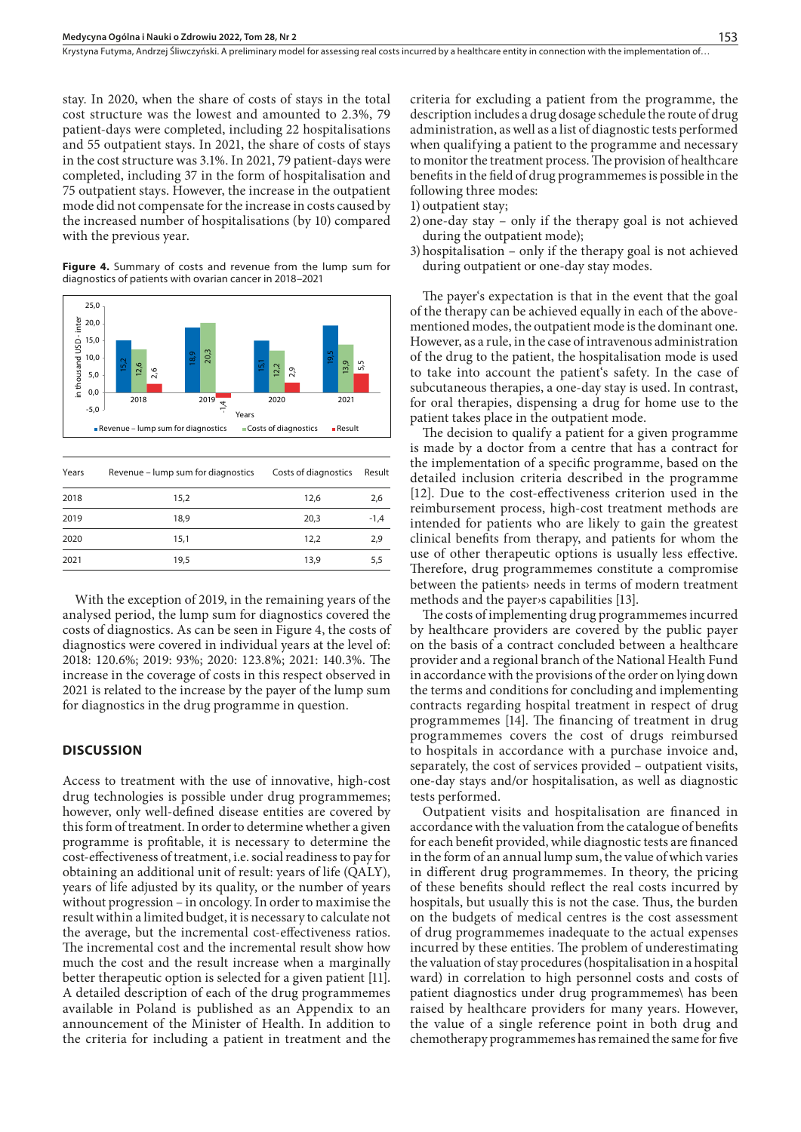Krystyna Futyma, Andrzej Śliwczyński. A preliminary model for assessing real costs incurred by a healthcare entity in connection with the implementation of..

stay. In 2020, when the share of costs of stays in the total cost structure was the lowest and amounted to 2.3%, 79 patient-days were completed, including 22 hospitalisations and 55 outpatient stays. In 2021, the share of costs of stays in the cost structure was 3.1%. In 2021, 79 patient-days were completed, including 37 in the form of hospitalisation and 75 outpatient stays. However, the increase in the outpatient mode did not compensate for the increase in costs caused by the increased number of hospitalisations (by 10) compared with the previous year.

**Figure 4.** Summary of costs and revenue from the lump sum for diagnostics of patients with ovarian cancer in 2018–2021



| Years | Revenue – lump sum for diagnostics | Costs of diagnostics | Result |
|-------|------------------------------------|----------------------|--------|
| 2018  | 15.2                               | 12.6                 | 2,6    |
| 2019  | 18.9                               | 20.3                 | $-1,4$ |
| 2020  | 15,1                               | 12.2                 | 2,9    |
| 2021  | 19,5                               | 13,9                 | 5,5    |

With the exception of 2019, in the remaining years of the analysed period, the lump sum for diagnostics covered the costs of diagnostics. As can be seen in Figure 4, the costs of diagnostics were covered in individual years at the level of: 2018: 120.6%; 2019: 93%; 2020: 123.8%; 2021: 140.3%. The increase in the coverage of costs in this respect observed in 2021 is related to the increase by the payer of the lump sum for diagnostics in the drug programme in question.

#### **DISCUSSION**

Access to treatment with the use of innovative, high-cost drug technologies is possible under drug programmemes; however, only well-defined disease entities are covered by this form of treatment. In order to determine whether a given programme is profitable, it is necessary to determine the cost-effectiveness of treatment, i.e. social readiness to pay for obtaining an additional unit of result: years of life (QALY), years of life adjusted by its quality, or the number of years without progression – in oncology. In order to maximise the result within a limited budget, it is necessary to calculate not the average, but the incremental cost-effectiveness ratios. The incremental cost and the incremental result show how much the cost and the result increase when a marginally better therapeutic option is selected for a given patient [11]. A detailed description of each of the drug programmemes available in Poland is published as an Appendix to an announcement of the Minister of Health. In addition to the criteria for including a patient in treatment and the

criteria for excluding a patient from the programme, the description includes a drug dosage schedule the route of drug administration, as well as a list of diagnostic tests performed when qualifying a patient to the programme and necessary to monitor the treatment process. The provision of healthcare benefits in the field of drug programmemes is possible in the following three modes:

1) outpatient stay;

- 2)one-day stay only if the therapy goal is not achieved during the outpatient mode);
- 3)hospitalisation only if the therapy goal is not achieved during outpatient or one-day stay modes.

The payer's expectation is that in the event that the goal of the therapy can be achieved equally in each of the abovementioned modes, the outpatient mode is the dominant one. However, as a rule, in the case of intravenous administration of the drug to the patient, the hospitalisation mode is used to take into account the patient's safety. In the case of subcutaneous therapies, a one-day stay is used. In contrast, for oral therapies, dispensing a drug for home use to the patient takes place in the outpatient mode.

The decision to qualify a patient for a given programme is made by a doctor from a centre that has a contract for the implementation of a specific programme, based on the detailed inclusion criteria described in the programme [12]. Due to the cost-effectiveness criterion used in the reimbursement process, high-cost treatment methods are intended for patients who are likely to gain the greatest clinical benefits from therapy, and patients for whom the use of other therapeutic options is usually less effective. Therefore, drug programmemes constitute a compromise between the patients› needs in terms of modern treatment methods and the payer›s capabilities [13].

The costs of implementing drug programmemes incurred by healthcare providers are covered by the public payer on the basis of a contract concluded between a healthcare provider and a regional branch of the National Health Fund in accordance with the provisions of the order on lying down the terms and conditions for concluding and implementing contracts regarding hospital treatment in respect of drug programmemes [14]. The financing of treatment in drug programmemes covers the cost of drugs reimbursed to hospitals in accordance with a purchase invoice and, separately, the cost of services provided – outpatient visits, one-day stays and/or hospitalisation, as well as diagnostic tests performed.

Outpatient visits and hospitalisation are financed in accordance with the valuation from the catalogue of benefits for each benefit provided, while diagnostic tests are financed in the form of an annual lump sum, the value of which varies in different drug programmemes. In theory, the pricing of these benefits should reflect the real costs incurred by hospitals, but usually this is not the case. Thus, the burden on the budgets of medical centres is the cost assessment of drug programmemes inadequate to the actual expenses incurred by these entities. The problem of underestimating the valuation of stay procedures (hospitalisation in a hospital ward) in correlation to high personnel costs and costs of patient diagnostics under drug programmemes\ has been raised by healthcare providers for many years. However, the value of a single reference point in both drug and chemotherapy programmemes has remained the same for five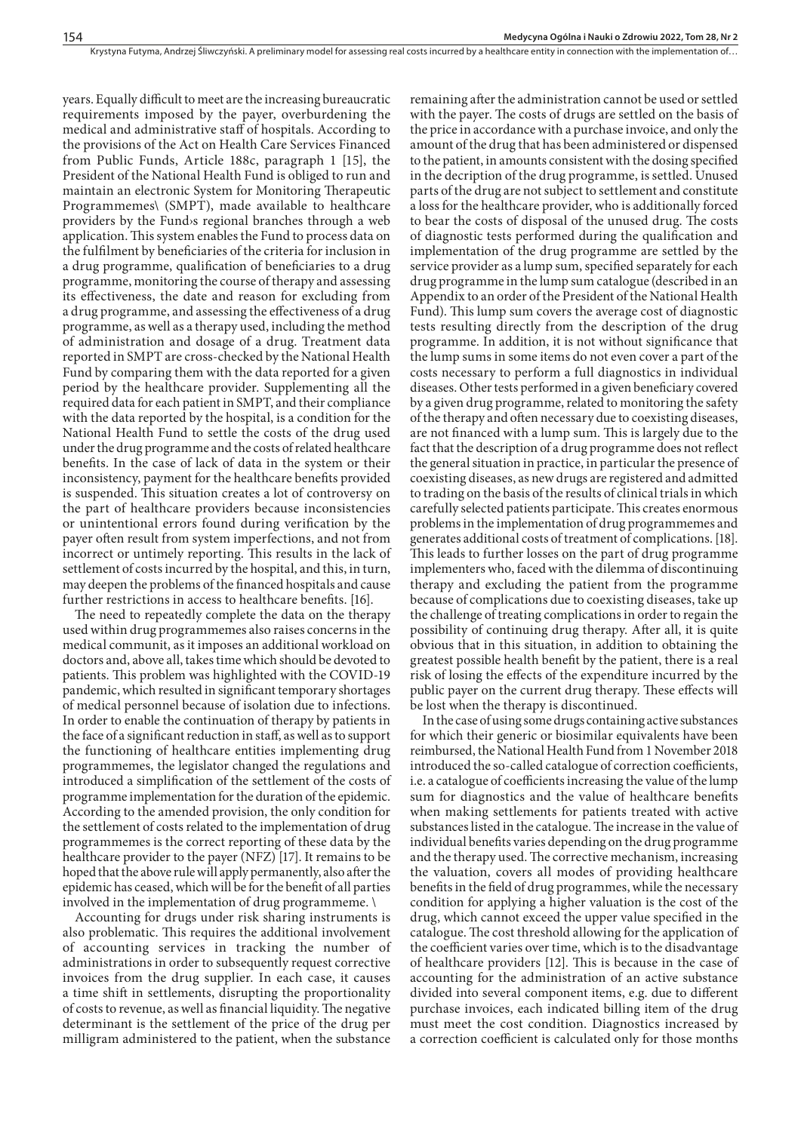years. Equally difficult to meet are the increasing bureaucratic requirements imposed by the payer, overburdening the medical and administrative staff of hospitals. According to the provisions of the Act on Health Care Services Financed from Public Funds, Article 188c, paragraph 1 [15], the President of the National Health Fund is obliged to run and maintain an electronic System for Monitoring Therapeutic Programmemes\ (SMPT), made available to healthcare providers by the Fund›s regional branches through a web application. This system enables the Fund to process data on the fulfilment by beneficiaries of the criteria for inclusion in a drug programme, qualification of beneficiaries to a drug programme, monitoring the course of therapy and assessing its effectiveness, the date and reason for excluding from a drug programme, and assessing the effectiveness of a drug programme, as well as a therapy used, including the method of administration and dosage of a drug. Treatment data reported in SMPT are cross-checked by the National Health Fund by comparing them with the data reported for a given period by the healthcare provider. Supplementing all the required data for each patient in SMPT, and their compliance with the data reported by the hospital, is a condition for the National Health Fund to settle the costs of the drug used under the drug programme and the costs of related healthcare benefits. In the case of lack of data in the system or their inconsistency, payment for the healthcare benefits provided is suspended. This situation creates a lot of controversy on the part of healthcare providers because inconsistencies or unintentional errors found during verification by the payer often result from system imperfections, and not from incorrect or untimely reporting. This results in the lack of settlement of costs incurred by the hospital, and this, in turn, may deepen the problems of the financed hospitals and cause further restrictions in access to healthcare benefits. [16].

The need to repeatedly complete the data on the therapy used within drug programmemes also raises concerns in the medical communit, as it imposes an additional workload on doctors and, above all, takes time which should be devoted to patients. This problem was highlighted with the COVID-19 pandemic, which resulted in significant temporary shortages of medical personnel because of isolation due to infections. In order to enable the continuation of therapy by patients in the face of a significant reduction in staff, as well as to support the functioning of healthcare entities implementing drug programmemes, the legislator changed the regulations and introduced a simplification of the settlement of the costs of programme implementation for the duration of the epidemic. According to the amended provision, the only condition for the settlement of costs related to the implementation of drug programmemes is the correct reporting of these data by the healthcare provider to the payer (NFZ) [17]. It remains to be hoped that the above rule will apply permanently, also after the epidemic has ceased, which will be for the benefit of all parties involved in the implementation of drug programmeme. \

Accounting for drugs under risk sharing instruments is also problematic. This requires the additional involvement of accounting services in tracking the number of administrations in order to subsequently request corrective invoices from the drug supplier. In each case, it causes a time shift in settlements, disrupting the proportionality of costs to revenue, as well as financial liquidity. The negative determinant is the settlement of the price of the drug per milligram administered to the patient, when the substance

remaining after the administration cannot be used or settled with the payer. The costs of drugs are settled on the basis of the price in accordance with a purchase invoice, and only the amount of the drug that has been administered or dispensed to the patient, in amounts consistent with the dosing specified in the decription of the drug programme, is settled. Unused parts of the drug are not subject to settlement and constitute a loss for the healthcare provider, who is additionally forced to bear the costs of disposal of the unused drug. The costs of diagnostic tests performed during the qualification and implementation of the drug programme are settled by the service provider as a lump sum, specified separately for each drug programme in the lump sum catalogue (described in an Appendix to an order of the President of the National Health Fund). This lump sum covers the average cost of diagnostic tests resulting directly from the description of the drug programme. In addition, it is not without significance that the lump sums in some items do not even cover a part of the costs necessary to perform a full diagnostics in individual diseases. Other tests performed in a given beneficiary covered by a given drug programme, related to monitoring the safety of the therapy and often necessary due to coexisting diseases, are not financed with a lump sum. This is largely due to the fact that the description of a drug programme does not reflect the general situation in practice, in particular the presence of coexisting diseases, as new drugs are registered and admitted to trading on the basis of the results of clinical trials in which carefully selected patients participate. This creates enormous problems in the implementation of drug programmemes and generates additional costs of treatment of complications. [18]. This leads to further losses on the part of drug programme implementers who, faced with the dilemma of discontinuing therapy and excluding the patient from the programme because of complications due to coexisting diseases, take up the challenge of treating complications in order to regain the possibility of continuing drug therapy. After all, it is quite obvious that in this situation, in addition to obtaining the greatest possible health benefit by the patient, there is a real risk of losing the effects of the expenditure incurred by the public payer on the current drug therapy. These effects will be lost when the therapy is discontinued.

In the case of using some drugs containing active substances for which their generic or biosimilar equivalents have been reimbursed, the National Health Fund from 1 November 2018 introduced the so-called catalogue of correction coefficients, i.e. a catalogue of coefficients increasing the value of the lump sum for diagnostics and the value of healthcare benefits when making settlements for patients treated with active substances listed in the catalogue. The increase in the value of individual benefits varies depending on the drug programme and the therapy used. The corrective mechanism, increasing the valuation, covers all modes of providing healthcare benefits in the field of drug programmes, while the necessary condition for applying a higher valuation is the cost of the drug, which cannot exceed the upper value specified in the catalogue. The cost threshold allowing for the application of the coefficient varies over time, which is to the disadvantage of healthcare providers [12]. This is because in the case of accounting for the administration of an active substance divided into several component items, e.g. due to different purchase invoices, each indicated billing item of the drug must meet the cost condition. Diagnostics increased by a correction coefficient is calculated only for those months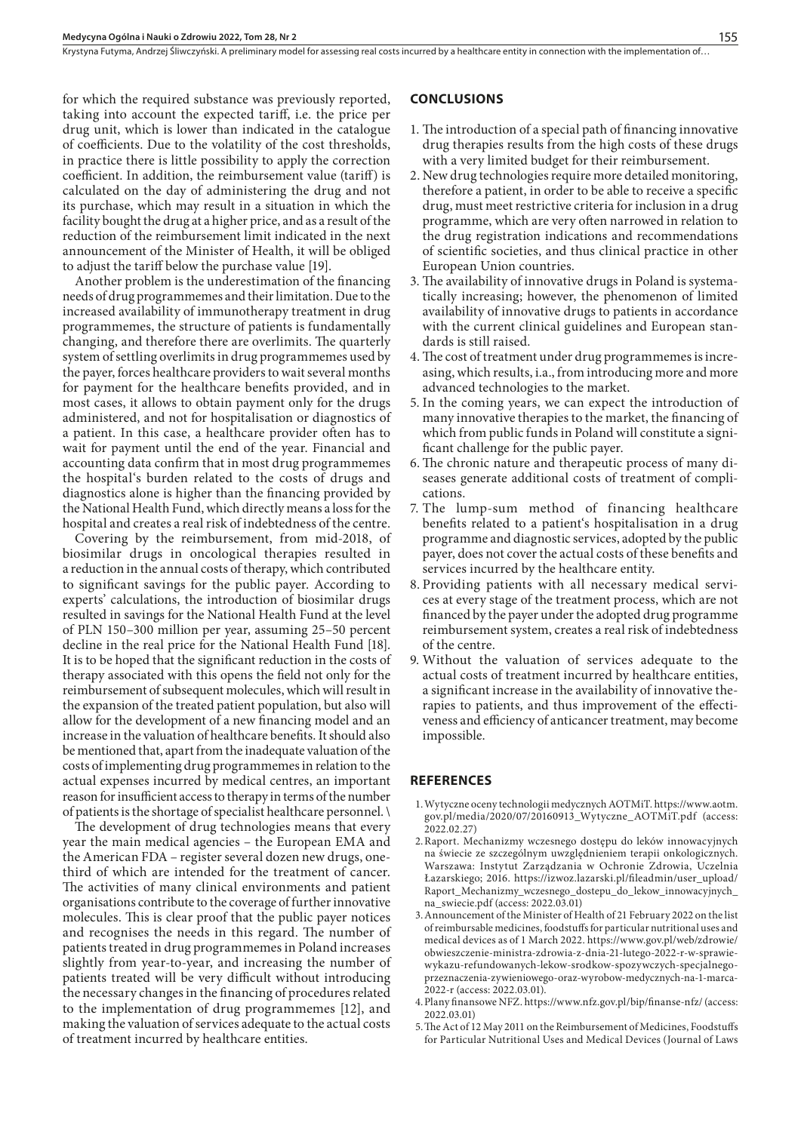for which the required substance was previously reported, taking into account the expected tariff, i.e. the price per drug unit, which is lower than indicated in the catalogue of coefficients. Due to the volatility of the cost thresholds, in practice there is little possibility to apply the correction coefficient. In addition, the reimbursement value (tariff) is calculated on the day of administering the drug and not its purchase, which may result in a situation in which the facility bought the drug at a higher price, and as a result of the reduction of the reimbursement limit indicated in the next announcement of the Minister of Health, it will be obliged to adjust the tariff below the purchase value [19].

Another problem is the underestimation of the financing needs of drug programmemes and their limitation. Due to the increased availability of immunotherapy treatment in drug programmemes, the structure of patients is fundamentally changing, and therefore there are overlimits. The quarterly system of settling overlimits in drug programmemes used by the payer, forces healthcare providers to wait several months for payment for the healthcare benefits provided, and in most cases, it allows to obtain payment only for the drugs administered, and not for hospitalisation or diagnostics of a patient. In this case, a healthcare provider often has to wait for payment until the end of the year. Financial and accounting data confirm that in most drug programmemes the hospital's burden related to the costs of drugs and diagnostics alone is higher than the financing provided by the National Health Fund, which directly means a loss for the hospital and creates a real risk of indebtedness of the centre.

Covering by the reimbursement, from mid-2018, of biosimilar drugs in oncological therapies resulted in a reduction in the annual costs of therapy, which contributed to significant savings for the public payer. According to experts' calculations, the introduction of biosimilar drugs resulted in savings for the National Health Fund at the level of PLN 150–300 million per year, assuming 25–50 percent decline in the real price for the National Health Fund [18]. It is to be hoped that the significant reduction in the costs of therapy associated with this opens the field not only for the reimbursement of subsequent molecules, which will result in the expansion of the treated patient population, but also will allow for the development of a new financing model and an increase in the valuation of healthcare benefits. It should also be mentioned that, apart from the inadequate valuation of the costs of implementing drug programmemes in relation to the actual expenses incurred by medical centres, an important reason for insufficient access to therapy in terms of the number of patients is the shortage of specialist healthcare personnel. \

The development of drug technologies means that every year the main medical agencies – the European EMA and the American FDA – register several dozen new drugs, onethird of which are intended for the treatment of cancer. The activities of many clinical environments and patient organisations contribute to the coverage of further innovative molecules. This is clear proof that the public payer notices and recognises the needs in this regard. The number of patients treated in drug programmemes in Poland increases slightly from year-to-year, and increasing the number of patients treated will be very difficult without introducing the necessary changes in the financing of procedures related to the implementation of drug programmemes [12], and making the valuation of services adequate to the actual costs of treatment incurred by healthcare entities.

#### **CONCLUSIONS**

- 1. The introduction of a special path of financing innovative drug therapies results from the high costs of these drugs with a very limited budget for their reimbursement.
- 2. New drug technologies require more detailed monitoring, therefore a patient, in order to be able to receive a specific drug, must meet restrictive criteria for inclusion in a drug programme, which are very often narrowed in relation to the drug registration indications and recommendations of scientific societies, and thus clinical practice in other European Union countries.
- 3. The availability of innovative drugs in Poland is systematically increasing; however, the phenomenon of limited availability of innovative drugs to patients in accordance with the current clinical guidelines and European standards is still raised.
- 4.The cost of treatment under drug programmemes is increasing, which results, i.a., from introducing more and more advanced technologies to the market.
- 5. In the coming years, we can expect the introduction of many innovative therapies to the market, the financing of which from public funds in Poland will constitute a significant challenge for the public payer.
- 6. The chronic nature and therapeutic process of many diseases generate additional costs of treatment of complications.
- 7. The lump-sum method of financing healthcare benefits related to a patient's hospitalisation in a drug programme and diagnostic services, adopted by the public payer, does not cover the actual costs of these benefits and services incurred by the healthcare entity.
- 8. Providing patients with all necessary medical services at every stage of the treatment process, which are not financed by the payer under the adopted drug programme reimbursement system, creates a real risk of indebtedness of the centre.
- 9. Without the valuation of services adequate to the actual costs of treatment incurred by healthcare entities, a significant increase in the availability of innovative therapies to patients, and thus improvement of the effectiveness and efficiency of anticancer treatment, may become impossible.

#### **REFERENCES**

- 1.Wytyczne oceny technologii medycznych AOTMiT. https://www.aotm. gov.pl/media/2020/07/20160913\_Wytyczne\_AOTMiT.pdf (access: 2022.02.27)
- 2.Raport. Mechanizmy wczesnego dostępu do leków innowacyjnych na świecie ze szczególnym uwzględnieniem terapii onkologicznych. Warszawa: Instytut Zarządzania w Ochronie Zdrowia, Uczelnia Łazarskiego; 2016. https://izwoz.lazarski.pl/fileadmin/user\_upload/ Raport\_Mechanizmy\_wczesnego\_dostepu\_do\_lekow\_innowacyjnych\_ na\_swiecie.pdf (access: 2022.03.01)
- 3.Announcement of the Minister of Health of 21 February 2022 on the list of reimbursable medicines, foodstuffs for particular nutritional uses and medical devices as of 1 March 2022. https://www.gov.pl/web/zdrowie/ obwieszczenie-ministra-zdrowia-z-dnia-21-lutego-2022-r-w-sprawiewykazu-refundowanych-lekow-srodkow-spozywczych-specjalnegoprzeznaczenia-zywieniowego-oraz-wyrobow-medycznych-na-1-marca-2022-r (access: 2022.03.01).
- 4.Plany finansowe NFZ. https://www.nfz.gov.pl/bip/finanse-nfz/ (access: 2022.03.01)
- 5.The Act of 12 May 2011 on the Reimbursement of Medicines, Foodstuffs for Particular Nutritional Uses and Medical Devices (Journal of Laws